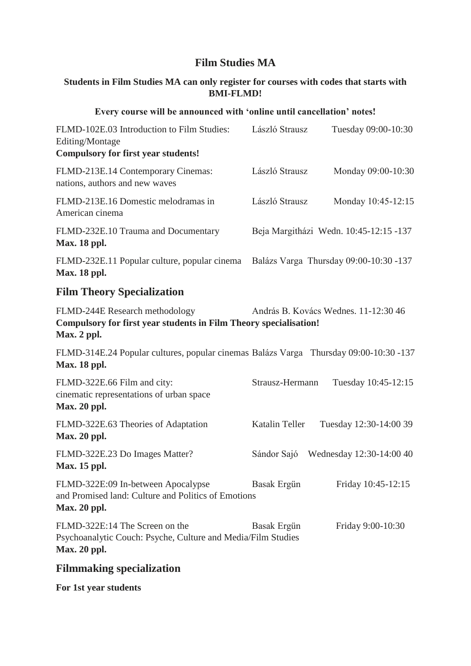## **Film Studies MA**

#### **Students in Film Studies MA can only register for courses with codes that starts with BMI-FLMD!**

#### **Every course will be announced with 'online until cancellation' notes!**

| FLMD-102E.03 Introduction to Film Studies:<br>Editing/Montage<br><b>Compulsory for first year students!</b>                                                | László Strausz  | Tuesday 09:00-10:30                    |
|------------------------------------------------------------------------------------------------------------------------------------------------------------|-----------------|----------------------------------------|
| FLMD-213E.14 Contemporary Cinemas:<br>nations, authors and new waves                                                                                       | László Strausz  | Monday 09:00-10:30                     |
| FLMD-213E.16 Domestic melodramas in<br>American cinema                                                                                                     | László Strausz  | Monday 10:45-12:15                     |
| FLMD-232E.10 Trauma and Documentary<br><b>Max. 18 ppl.</b>                                                                                                 |                 | Beja Margitházi Wedn. 10:45-12:15 -137 |
| FLMD-232E.11 Popular culture, popular cinema<br><b>Max. 18 ppl.</b>                                                                                        |                 | Balázs Varga Thursday 09:00-10:30 -137 |
| <b>Film Theory Specialization</b>                                                                                                                          |                 |                                        |
| FLMD-244E Research methodology<br>András B. Kovács Wednes. 11-12:30 46<br>Compulsory for first year students in Film Theory specialisation!<br>Max. 2 ppl. |                 |                                        |
| FLMD-314E.24 Popular cultures, popular cinemas Balázs Varga Thursday 09:00-10:30 -137<br><b>Max. 18 ppl.</b>                                               |                 |                                        |
| FLMD-322E.66 Film and city:<br>cinematic representations of urban space<br><b>Max. 20 ppl.</b>                                                             | Strausz-Hermann | Tuesday 10:45-12:15                    |
| FLMD-322E.63 Theories of Adaptation<br><b>Max. 20 ppl.</b>                                                                                                 | Katalin Teller  | Tuesday 12:30-14:00 39                 |
| FLMD-322E.23 Do Images Matter?<br>Max. 15 ppl.                                                                                                             | Sándor Sajó     | Wednesday 12:30-14:00 40               |
| FLMD-322E:09 In-between Apocalypse<br>and Promised land: Culture and Politics of Emotions<br><b>Max. 20 ppl.</b>                                           | Basak Ergün     | Friday 10:45-12:15                     |
| FLMD-322E:14 The Screen on the<br>Psychoanalytic Couch: Psyche, Culture and Media/Film Studies<br><b>Max. 20 ppl.</b>                                      | Basak Ergün     | Friday 9:00-10:30                      |

# **Filmmaking specialization**

**For 1st year students**